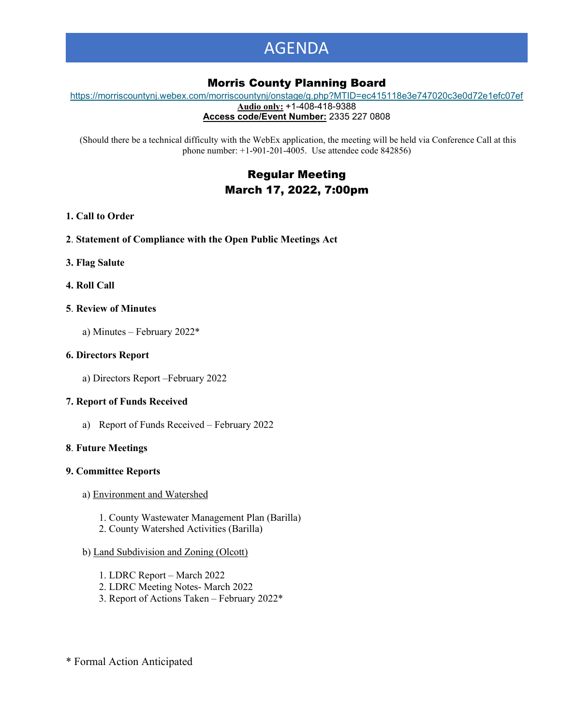# AGENDA

# Morris County Planning Board

[https://morriscountynj.webex.com/morriscountynj/onstage/g.php?MTID=ec415118e3e747020c3e0d72e1efc07ef](https://gcc02.safelinks.protection.outlook.com/?url=https%3A%2F%2Fmorriscountynj.webex.com%2Fmorriscountynj%2Fonstage%2Fg.php%3FMTID%3Dec415118e3e747020c3e0d72e1efc07ef&data=04%7C01%7Cvmichelin%40co.morris.nj.us%7C84ac7d27aba8414e318808d9fb88f4e5%7Cec2ce8c138394008b949e2b17cfa906d%7C0%7C0%7C637817387905960502%7CUnknown%7CTWFpbGZsb3d8eyJWIjoiMC4wLjAwMDAiLCJQIjoiV2luMzIiLCJBTiI6Ik1haWwiLCJXVCI6Mn0%3D%7C3000&sdata=UHj5CLc8F5Hy8lGY7AOUCBJf3GsSGlNk4V6B5xB7Xwc%3D&reserved=0) **Audio only:** +1-408-418-9388

**Access code/Event Number:** 2335 227 0808

(Should there be a technical difficulty with the WebEx application, the meeting will be held via Conference Call at this phone number: +1-901-201-4005. Use attendee code 842856)

# Regular Meeting March 17, 2022, 7:00pm

# **1. Call to Order**

- **2**. **Statement of Compliance with the Open Public Meetings Act**
- **3. Flag Salute**
- **4. Roll Call**

# **5**. **Review of Minutes**

a) Minutes – February 2022\*

# **6. Directors Report**

a) Directors Report –February 2022

# **7. Report of Funds Received**

a) Report of Funds Received – February 2022

#### **8**. **Future Meetings**

#### **9. Committee Reports**

- a) Environment and Watershed
	- 1. County Wastewater Management Plan (Barilla)
	- 2. County Watershed Activities (Barilla)

# b) Land Subdivision and Zoning (Olcott)

- 1. LDRC Report March 2022
- 2. LDRC Meeting Notes- March 2022
- 3. Report of Actions Taken February 2022\*

\* Formal Action Anticipated